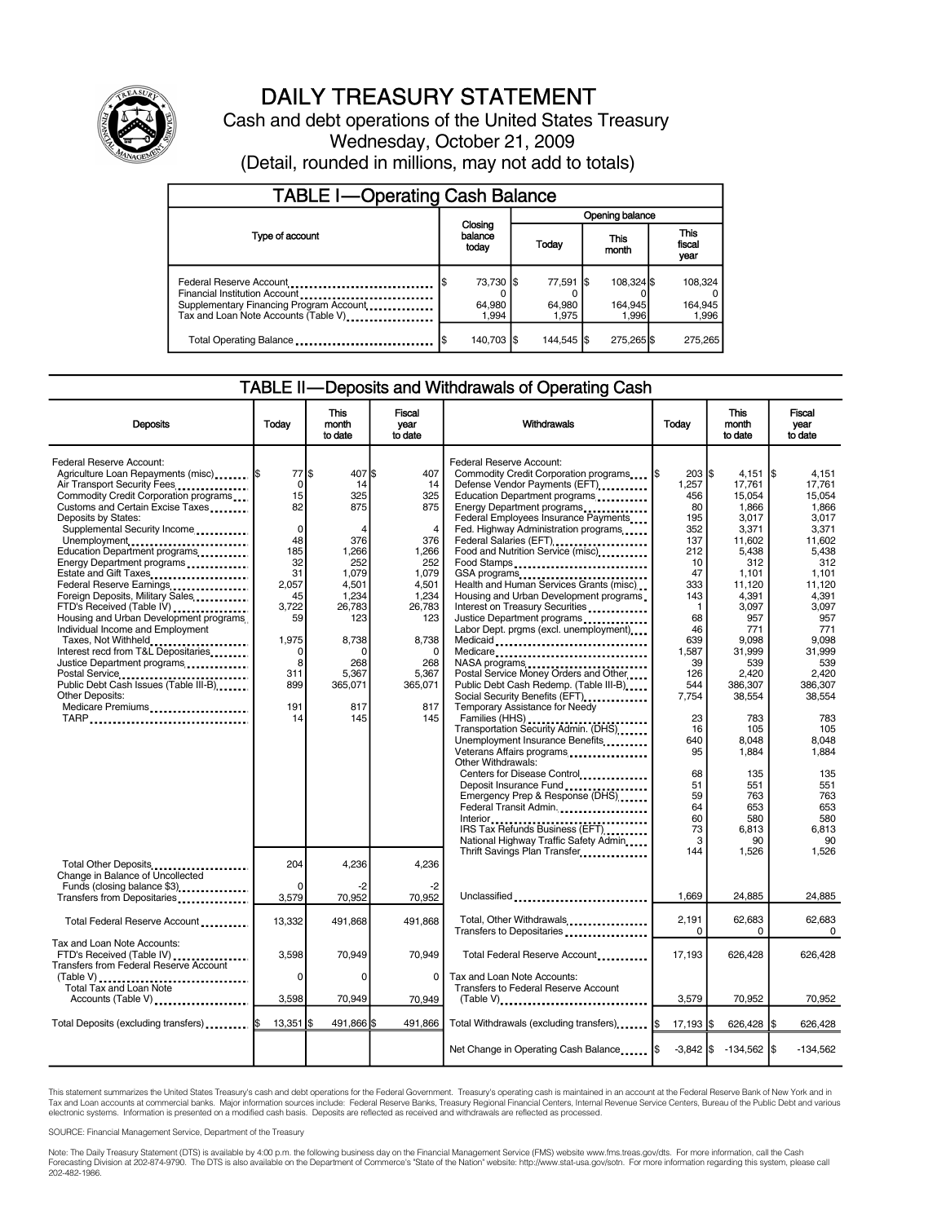

### DAILY TREASURY STATEMENT

Cash and debt operations of the United States Treasury Wednesday, October 21, 2009 (Detail, rounded in millions, may not add to totals)

| <b>TABLE I-Operating Cash Balance</b>                                                                                                        |  |                             |                 |                           |               |                                |  |                               |  |
|----------------------------------------------------------------------------------------------------------------------------------------------|--|-----------------------------|-----------------|---------------------------|---------------|--------------------------------|--|-------------------------------|--|
|                                                                                                                                              |  |                             | Opening balance |                           |               |                                |  |                               |  |
| Type of account                                                                                                                              |  | Closing<br>balance<br>today | Today           |                           | This<br>month |                                |  | <b>This</b><br>fiscal<br>year |  |
| Federal Reserve Account<br>Financial Institution Account<br>Supplementary Financing Program Account.<br>Tax and Loan Note Accounts (Table V) |  | 73.730 S<br>64,980<br>1.994 |                 | 77,591<br>64,980<br>1.975 | -1\$          | 108.324 \$<br>164,945<br>1.996 |  | 108.324<br>164,945<br>1.996   |  |
| Total Operating Balance                                                                                                                      |  | 140,703   \$                |                 | 144,545 \$                |               | 275.265                        |  | 275,265                       |  |

#### TABLE II—Deposits and Withdrawals of Operating Cash

| <b>Deposits</b>                                                                                                                                                                                                                                                                                                                                                                                                                                                                                                                                                                                                                                                                                                                             | Todav                                                                                                                                                       | This<br>month<br>to date                                                                                                                                    | Fiscal<br>vear<br>to date                                                                                                                                                  | <b>Withdrawals</b>                                                                                                                                                                                                                                                                                                                                                                                                                                                                                                                                                                                                                                                                                                                  | Today                                                                                                                                                                 | This<br>month<br>to date                                                                                                                                                                         | Fiscal<br>vear<br>to date                                                                                                                                                                               |
|---------------------------------------------------------------------------------------------------------------------------------------------------------------------------------------------------------------------------------------------------------------------------------------------------------------------------------------------------------------------------------------------------------------------------------------------------------------------------------------------------------------------------------------------------------------------------------------------------------------------------------------------------------------------------------------------------------------------------------------------|-------------------------------------------------------------------------------------------------------------------------------------------------------------|-------------------------------------------------------------------------------------------------------------------------------------------------------------|----------------------------------------------------------------------------------------------------------------------------------------------------------------------------|-------------------------------------------------------------------------------------------------------------------------------------------------------------------------------------------------------------------------------------------------------------------------------------------------------------------------------------------------------------------------------------------------------------------------------------------------------------------------------------------------------------------------------------------------------------------------------------------------------------------------------------------------------------------------------------------------------------------------------------|-----------------------------------------------------------------------------------------------------------------------------------------------------------------------|--------------------------------------------------------------------------------------------------------------------------------------------------------------------------------------------------|---------------------------------------------------------------------------------------------------------------------------------------------------------------------------------------------------------|
| Federal Reserve Account:<br>Agriculture Loan Repayments (misc)  \$<br>Air Transport Security Fees<br>Commodity Credit Corporation programs<br>Customs and Certain Excise Taxes<br>Deposits by States:<br>Supplemental Security Income<br>Unemployment<br>Education Department programs<br>Energy Department programs<br>Estate and Gift Taxes<br>Federal Reserve Earnings<br>Foreign Deposits, Military Sales<br>FTD's Received (Table IV)<br>Housing and Urban Development programs<br>Individual Income and Employment<br>Taxes, Not Withheld<br>Interest recd from T&L Depositaries<br>Justice Department programs<br><br>Postal Service<br>Public Debt Cash Issues (Table III-B)<br><b>Other Deposits:</b><br>Medicare Premiums<br>TARP | 77 \$<br>$\mathbf 0$<br>15<br>82<br>$\mathbf 0$<br>48<br>185<br>32<br>31<br>2,057<br>45<br>3,722<br>59<br>1,975<br>$\Omega$<br>8<br>311<br>899<br>191<br>14 | 407 \$<br>14<br>325<br>875<br>376<br>1,266<br>252<br>1,079<br>4,501<br>1,234<br>26,783<br>123<br>8,738<br>$\Omega$<br>268<br>5.367<br>365,071<br>817<br>145 | 407<br>14<br>325<br>875<br>$\overline{4}$<br>376<br>1,266<br>252<br>1,079<br>4,501<br>1,234<br>26,783<br>123<br>8,738<br>$\Omega$<br>268<br>5.367<br>365,071<br>817<br>145 | Federal Reserve Account:<br>Commodity Credit Corporation programs I\$<br>Defense Vendor Payments (EFT)<br>Education Department programs<br>Energy Department programs<br>Federal Employees Insurance Payments<br>Fed. Highway Administration programs<br>Federal Salaries (EFT)<br>Food and Nutrition Service (misc)<br>Food Stamps<br>GSA programs<br>Health and Human Services Grants (misc)<br>Housing and Urban Development programs<br>Interest on Treasury Securities<br>Justice Department programs<br>Labor Dept. prgms (excl. unemployment)<br>Medicaid<br>Medicare<br>Postal Service Money Orders and Other<br>Public Debt Cash Redemp. (Table III-B)<br>Social Security Benefits (EFT)<br>Temporary Assistance for Needy | $203$ \$<br>1,257<br>456<br>80<br>195<br>352<br>137<br>212<br>10<br>47<br>333<br>143<br>$\overline{1}$<br>68<br>46<br>639<br>1.587<br>39<br>126<br>544<br>7,754<br>23 | 4,151<br>17,761<br>15,054<br>1,866<br>3,017<br>3.371<br>11,602<br>5,438<br>312<br>1,101<br>11,120<br>4,391<br>3,097<br>957<br>771<br>9.098<br>31.999<br>539<br>2.420<br>386.307<br>38,554<br>783 | 1\$<br>4,151<br>17,761<br>15.054<br>1,866<br>3.017<br>3.371<br>11,602<br>5,438<br>312<br>1,101<br>11.120<br>4,391<br>3,097<br>957<br>771<br>9.098<br>31.999<br>539<br>2.420<br>386,307<br>38,554<br>783 |
|                                                                                                                                                                                                                                                                                                                                                                                                                                                                                                                                                                                                                                                                                                                                             |                                                                                                                                                             |                                                                                                                                                             |                                                                                                                                                                            | Transportation Security Admin. (DHS)<br>Unemployment Insurance Benefits<br>Veterans Affairs programs<br>Other Withdrawals:<br>Centers for Disease Control<br>Deposit Insurance Fund<br>Emergency Prep & Response (DHS)<br>Federal Transit Admin.<br>IRS Tax Refunds Business (EFT)<br>National Highway Traffic Safety Admin                                                                                                                                                                                                                                                                                                                                                                                                         | 16<br>640<br>95<br>68<br>51<br>59<br>64<br>60<br>73<br>3                                                                                                              | 105<br>8.048<br>1,884<br>135<br>551<br>763<br>653<br>580<br>6,813<br>90                                                                                                                          | 105<br>8.048<br>1,884<br>135<br>551<br>763<br>653<br>580<br>6,813<br>90                                                                                                                                 |
| Total Other Deposits<br>Change in Balance of Uncollected<br>Funds (closing balance \$3)                                                                                                                                                                                                                                                                                                                                                                                                                                                                                                                                                                                                                                                     | 204<br>$\Omega$                                                                                                                                             | 4,236<br>-2                                                                                                                                                 | 4,236<br>$-2$                                                                                                                                                              | Thrift Savings Plan Transfer                                                                                                                                                                                                                                                                                                                                                                                                                                                                                                                                                                                                                                                                                                        | 144                                                                                                                                                                   | 1,526                                                                                                                                                                                            | 1,526                                                                                                                                                                                                   |
| Transfers from Depositaries                                                                                                                                                                                                                                                                                                                                                                                                                                                                                                                                                                                                                                                                                                                 | 3.579                                                                                                                                                       | 70,952                                                                                                                                                      | 70,952                                                                                                                                                                     | Unclassified                                                                                                                                                                                                                                                                                                                                                                                                                                                                                                                                                                                                                                                                                                                        | 1,669                                                                                                                                                                 | 24,885                                                                                                                                                                                           | 24,885                                                                                                                                                                                                  |
| Total Federal Reserve Account                                                                                                                                                                                                                                                                                                                                                                                                                                                                                                                                                                                                                                                                                                               | 13,332                                                                                                                                                      | 491,868                                                                                                                                                     | 491,868                                                                                                                                                                    | Total, Other Withdrawals<br>Transfers to Depositaries                                                                                                                                                                                                                                                                                                                                                                                                                                                                                                                                                                                                                                                                               | 2,191<br>$\Omega$                                                                                                                                                     | 62,683<br>0                                                                                                                                                                                      | 62.683<br>0                                                                                                                                                                                             |
| Tax and Loan Note Accounts:<br>FTD's Received (Table IV)<br>Transfers from Federal Reserve Account<br>(Table V)<br>                                                                                                                                                                                                                                                                                                                                                                                                                                                                                                                                                                                                                         | 3,598<br>$\Omega$                                                                                                                                           | 70,949<br>$\Omega$                                                                                                                                          | 70,949<br>$\Omega$                                                                                                                                                         | Total Federal Reserve Account<br>Tax and Loan Note Accounts:                                                                                                                                                                                                                                                                                                                                                                                                                                                                                                                                                                                                                                                                        | 17,193                                                                                                                                                                | 626,428                                                                                                                                                                                          | 626,428                                                                                                                                                                                                 |
| Total Tax and Loan Note<br>Accounts (Table V)                                                                                                                                                                                                                                                                                                                                                                                                                                                                                                                                                                                                                                                                                               | 3,598                                                                                                                                                       | 70,949                                                                                                                                                      | 70,949                                                                                                                                                                     | Transfers to Federal Reserve Account<br>$(Table V)$                                                                                                                                                                                                                                                                                                                                                                                                                                                                                                                                                                                                                                                                                 | 3,579                                                                                                                                                                 | 70,952                                                                                                                                                                                           | 70,952                                                                                                                                                                                                  |
| Total Deposits (excluding transfers)                                                                                                                                                                                                                                                                                                                                                                                                                                                                                                                                                                                                                                                                                                        | $13,351$ $\frac{1}{3}$                                                                                                                                      | 491,866 \$                                                                                                                                                  | 491,866                                                                                                                                                                    | Total Withdrawals (excluding transfers) I\$                                                                                                                                                                                                                                                                                                                                                                                                                                                                                                                                                                                                                                                                                         | 17,193   \$                                                                                                                                                           | 626,428 \$                                                                                                                                                                                       | 626,428                                                                                                                                                                                                 |
|                                                                                                                                                                                                                                                                                                                                                                                                                                                                                                                                                                                                                                                                                                                                             |                                                                                                                                                             |                                                                                                                                                             |                                                                                                                                                                            | Net Change in Operating Cash Balance  \$                                                                                                                                                                                                                                                                                                                                                                                                                                                                                                                                                                                                                                                                                            | $-3,842$ S                                                                                                                                                            | -134,562  \$                                                                                                                                                                                     | $-134,562$                                                                                                                                                                                              |

This statement summarizes the United States Treasury's cash and debt operations for the Federal Government. Treasury's operating cash is maintained in an account at the Federal Reserve Bank of New York and in Tax and Loan accounts at commercial banks. Major information sources include: Federal Reserve Banks, Treasury Regional Financial Centers, Internal Revenue Service Centers, Bureau of the Public Debt and various<br>electronic s

SOURCE: Financial Management Service, Department of the Treasury

Note: The Daily Treasury Statement (DTS) is available by 4:00 p.m. the following business day on the Financial Management Service (FMS) website www.fms.treas.gov/dts. For more information, call the Cash<br>Forecasting Divisio